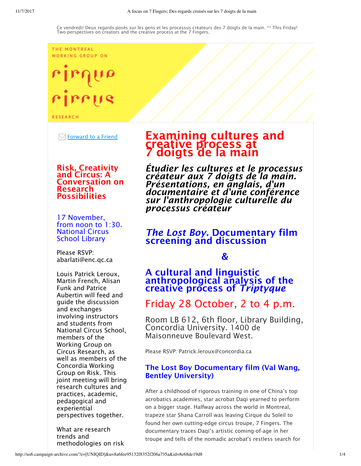#### THE MONTREAL WORKING GROUP ON

# $\mathsf{u}_\mathsf{I}$ rirrus

**RESEARCH** 

 $\boxdot$  Forward to a Friend

#### Risk, Creativity and Circus: A Conversation on Research Possibilities

17 November, from noon to 1:30. National Circus School Library

Please RSVP: abarlati@enc.qc.ca

Louis Patrick Leroux, Martin French, Alisan Funk and Patrice Aubertin will feed and guide the discussion and exchanges involving instructors and students from National Circus School, members of the Working Group on Circus Research, as well as members of the Concordia Working Group on Risk. This joint meeting will bring research cultures and practices, academic, pedagogical and experiential perspectives together.

What are research trends and methodologies on risk

# Examining cultures and creative process at 7 doigts de la main

*Étudier les cultures et le processus créateur aux 7 doigts de la main. Présentations, en anglais, d'un documentaire et d'une conférence sur l'anthropologie culturelle du processus créateur*

# *The Lost Boy.* Documentary film screening and discussion

 $\boldsymbol{\mathcal{R}}$ 

# A cultural and linguistic anthropological analysis of the creative process of *Triptyque*

# Friday 28 October, 2 to 4 p.m.

Room LB 612, 6th floor, Library Building, Concordia University. 1400 de Maisonneuve Boulevard West.

Please RSVP: Patrick.leroux@concordia.ca

# The Lost Boy Documentary film (Val Wang, Bentley University)

After a childhood of rigorous training in one of China's top acrobatics academies, star acrobat Daqi yearned to perform on a bigger stage. Halfway across the world in Montreal, trapeze star Shana Carroll was leaving Cirque du Soleil to found her own cutting-edge circus troupe, 7 Fingers. The documentary traces Daqi's artistic coming-of-age in her troupe and tells of the nomadic acrobat's restless search for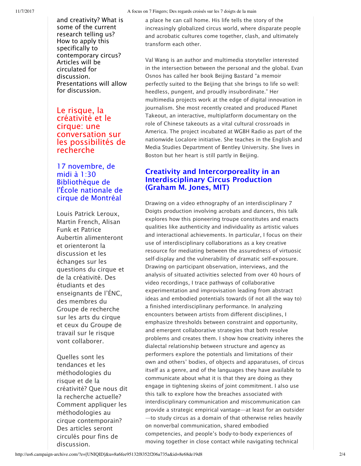and creativity? What is some of the current research telling us? How to apply this specifically to contemporary circus? Articles will be circulated for discussion. Presentations will allow for discussion.

## Le risque, la créativité et le cirque: une conversation sur les possibilités de recherche

17 novembre, de midi à 1:30 Bibliothèque de l'École nationale de cirque de Montréal

Louis Patrick Leroux, Martin French, Alisan Funk et Patrice Aubertin alimenteront et orienteront la discussion et les échanges sur les questions du cirque et de la créativité. Des étudiants et des enseignants de l'ÉNC, des membres du Groupe de recherche sur les arts du cirque et ceux du Groupe de travail sur le risque vont collaborer.

Quelles sont les tendances et les méthodologies du risque et de la créativité? Que nous dit la recherche actuelle? Comment appliquer les méthodologies au cirque contemporain? Des articles seront circulés pour fins de discussion.

a place he can call home. His life tells the story of the increasingly globalized circus world, where disparate people and acrobatic cultures come together, clash, and ultimately transform each other.

Val Wang is an author and multimedia storyteller interested in the intersection between the personal and the global. Evan Osnos has called her book Beijing Bastard "a memoir perfectly suited to the Beijing that she brings to life so well: heedless, pungent, and proudly insubordinate." Her multimedia projects work at the edge of digital innovation in journalism. She most recently created and produced Planet Takeout, an interactive, multiplatform documentary on the role of Chinese takeouts as a vital cultural crossroads in America. The project incubated at WGBH Radio as part of the nationwide Localore initiative. She teaches in the English and Media Studies Department of Bentley University. She lives in Boston but her heart is still partly in Beijing.

# Creativity and Intercorporeality in an Interdisciplinary Circus Production (Graham M. Jones, MIT)

Drawing on a video ethnography of an interdisciplinary 7 Doigts production involving acrobats and dancers, this talk explores how this pioneering troupe constitutes and enacts qualities like authenticity and individuality as artistic values and interactional achievements. In particular, I focus on their use of interdisciplinary collaborations as a key creative resource for mediating between the assuredness of virtuosic self-display and the vulnerability of dramatic self-exposure. Drawing on participant observation, interviews, and the analysis of situated activities selected from over 40 hours of video recordings, I trace pathways of collaborative experimentation and improvisation leading from abstract ideas and embodied potentials towards (if not all the way to) a finished interdisciplinary performance. In analyzing encounters between artists from different disciplines, I emphasize thresholds between constraint and opportunity, and emergent collaborative strategies that both resolve problems and creates them. I show how creativity inheres the dialectal relationship between structure and agency as performers explore the potentials and limitations of their own and others' bodies, of objects and apparatuses, of circus itself as a genre, and of the languages they have available to communicate about what it is that they are doing as they engage in tightening skeins of joint commitment. I also use this talk to explore how the breaches associated with interdisciplinary communication and miscommunication can provide a strategic empirical vantage—at least for an outsider —to study circus as a domain of that otherwise relies heavily on nonverbal communication, shared embodied competencies, and people's body-to-body experiences of moving together in close contact while navigating technical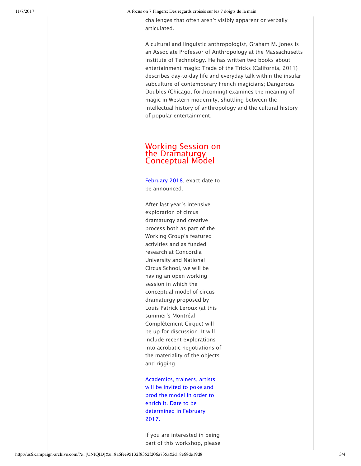challenges that often aren't visibly apparent or verbally articulated.

A cultural and linguistic anthropologist, Graham M. Jones is an Associate Professor of Anthropology at the Massachusetts Institute of Technology. He has written two books about entertainment magic: Trade of the Tricks (California, 2011) describes day-to-day life and everyday talk within the insular subculture of contemporary French magicians; Dangerous Doubles (Chicago, forthcoming) examines the meaning of magic in Western modernity, shuttling between the intellectual history of anthropology and the cultural history of popular entertainment.

#### Working Session on the Dramaturgy Conceptual Model

February 2018, exact date to be announced.

After last year's intensive exploration of circus dramaturgy and creative process both as part of the Working Group's featured activities and as funded research at Concordia University and National Circus School, we will be having an open working session in which the conceptual model of circus dramaturgy proposed by Louis Patrick Leroux (at this summer's Montréal Complètement Cirque) will be up for discussion. It will include recent explorations into acrobatic negotiations of the materiality of the objects and rigging.

Academics, trainers, artists will be invited to poke and prod the model in order to enrich it. Date to be determined in February 2017.

If you are interested in being part of this workshop, please